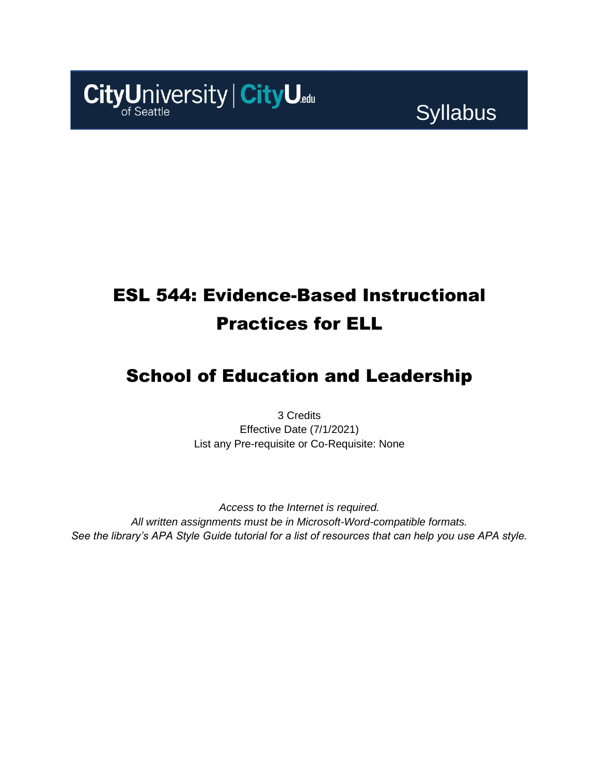

# Syllabus

# ESL 544: Evidence-Based Instructional Practices for ELL

## School of Education and Leadership

3 Credits Effective Date (7/1/2021) List any Pre-requisite or Co-Requisite: None

*Access to the Internet is required. All written assignments must be in Microsoft-Word-compatible formats. See the library's APA Style Guide tutorial for a list of resources that can help you use APA style.*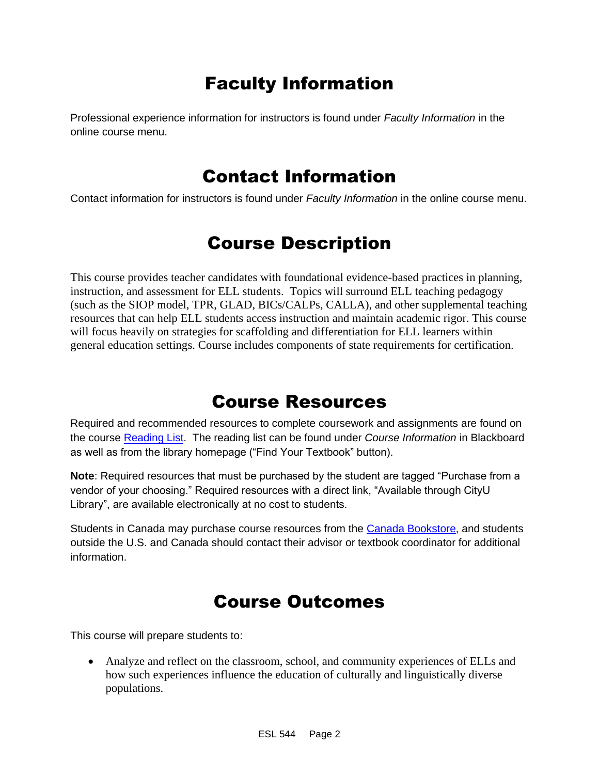## Faculty Information

Professional experience information for instructors is found under *Faculty Information* in the online course menu.

### Contact Information

Contact information for instructors is found under *Faculty Information* in the online course menu.

## Course Description

This course provides teacher candidates with foundational evidence-based practices in planning, instruction, and assessment for ELL students. Topics will surround ELL teaching pedagogy (such as the SIOP model, TPR, GLAD, BICs/CALPs, CALLA), and other supplemental teaching resources that can help ELL students access instruction and maintain academic rigor. This course will focus heavily on strategies for scaffolding and differentiation for ELL learners within general education settings. Course includes components of state requirements for certification.

### Course Resources

Required and recommended resources to complete coursework and assignments are found on the course [Reading List.](https://cityu.alma.exlibrisgroup.com/leganto/login?auth=SAML) The reading list can be found under *Course Information* in Blackboard as well as from the library homepage ("Find Your Textbook" button).

**Note**: Required resources that must be purchased by the student are tagged "Purchase from a vendor of your choosing." Required resources with a direct link, "Available through CityU Library", are available electronically at no cost to students.

Students in Canada may purchase course resources from the [Canada Bookstore,](https://www.cityubookstore.ca/index.asp) and students outside the U.S. and Canada should contact their advisor or textbook coordinator for additional information.

### Course Outcomes

This course will prepare students to:

• Analyze and reflect on the classroom, school, and community experiences of ELLs and how such experiences influence the education of culturally and linguistically diverse populations.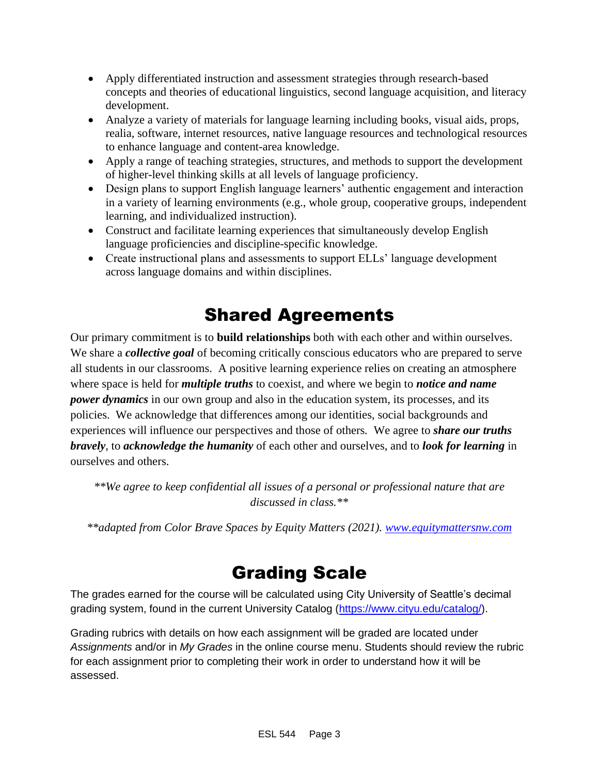- Apply differentiated instruction and assessment strategies through research-based concepts and theories of educational linguistics, second language acquisition, and literacy development.
- Analyze a variety of materials for language learning including books, visual aids, props, realia, software, internet resources, native language resources and technological resources to enhance language and content-area knowledge.
- Apply a range of teaching strategies, structures, and methods to support the development of higher-level thinking skills at all levels of language proficiency.
- Design plans to support English language learners' authentic engagement and interaction in a variety of learning environments (e.g., whole group, cooperative groups, independent learning, and individualized instruction).
- Construct and facilitate learning experiences that simultaneously develop English language proficiencies and discipline-specific knowledge.
- Create instructional plans and assessments to support ELLs' language development across language domains and within disciplines.

## Shared Agreements

Our primary commitment is to **build relationships** both with each other and within ourselves. We share a *collective goal* of becoming critically conscious educators who are prepared to serve all students in our classrooms. A positive learning experience relies on creating an atmosphere where space is held for *multiple truths* to coexist, and where we begin to *notice and name power dynamics* in our own group and also in the education system, its processes, and its policies. We acknowledge that differences among our identities, social backgrounds and experiences will influence our perspectives and those of others*.* We agree to *share our truths bravely*, to *acknowledge the humanity* of each other and ourselves, and to *look for learning* in ourselves and others.

*\*\*We agree to keep confidential all issues of a personal or professional nature that are discussed in class.\*\**

*\*\*adapted from Color Brave Spaces by Equity Matters (2021). [www.equitymattersnw.com](http://www.equitymattersnw.com/)*

## Grading Scale

The grades earned for the course will be calculated using City University of Seattle's decimal grading system, found in the current University Catalog [\(https://www.cityu.edu/catalog/\)](https://www.cityu.edu/catalog/).

Grading rubrics with details on how each assignment will be graded are located under *Assignments* and/or in *My Grades* in the online course menu. Students should review the rubric for each assignment prior to completing their work in order to understand how it will be assessed.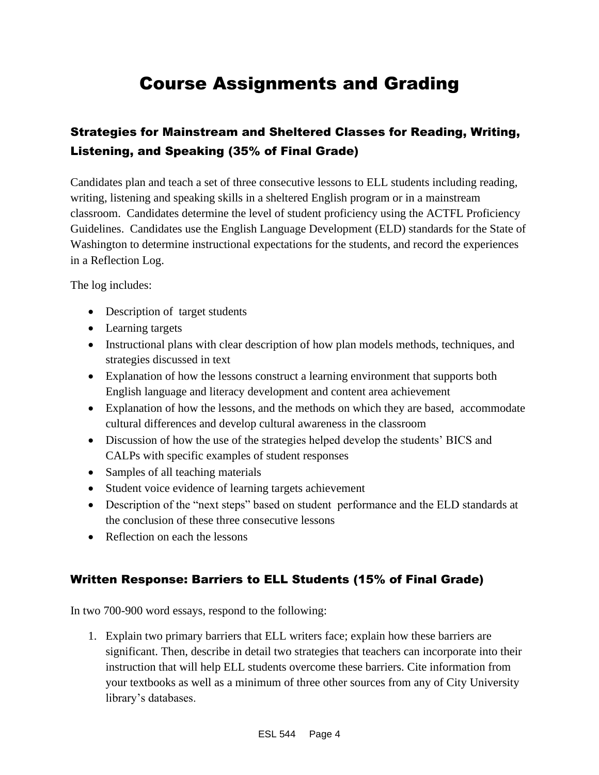## Course Assignments and Grading

### Strategies for Mainstream and Sheltered Classes for Reading, Writing, Listening, and Speaking (35% of Final Grade)

Candidates plan and teach a set of three consecutive lessons to ELL students including reading, writing, listening and speaking skills in a sheltered English program or in a mainstream classroom. Candidates determine the level of student proficiency using the ACTFL Proficiency Guidelines. Candidates use the English Language Development (ELD) standards for the State of Washington to determine instructional expectations for the students, and record the experiences in a Reflection Log.

The log includes:

- Description of target students
- Learning targets
- Instructional plans with clear description of how plan models methods, techniques, and strategies discussed in text
- Explanation of how the lessons construct a learning environment that supports both English language and literacy development and content area achievement
- Explanation of how the lessons, and the methods on which they are based, accommodate cultural differences and develop cultural awareness in the classroom
- Discussion of how the use of the strategies helped develop the students' BICS and CALPs with specific examples of student responses
- Samples of all teaching materials
- Student voice evidence of learning targets achievement
- Description of the "next steps" based on student performance and the ELD standards at the conclusion of these three consecutive lessons
- Reflection on each the lessons

### Written Response: Barriers to ELL Students (15% of Final Grade)

In two 700-900 word essays, respond to the following:

1. Explain two primary barriers that ELL writers face; explain how these barriers are significant. Then, describe in detail two strategies that teachers can incorporate into their instruction that will help ELL students overcome these barriers. Cite information from your textbooks as well as a minimum of three other sources from any of City University library's databases.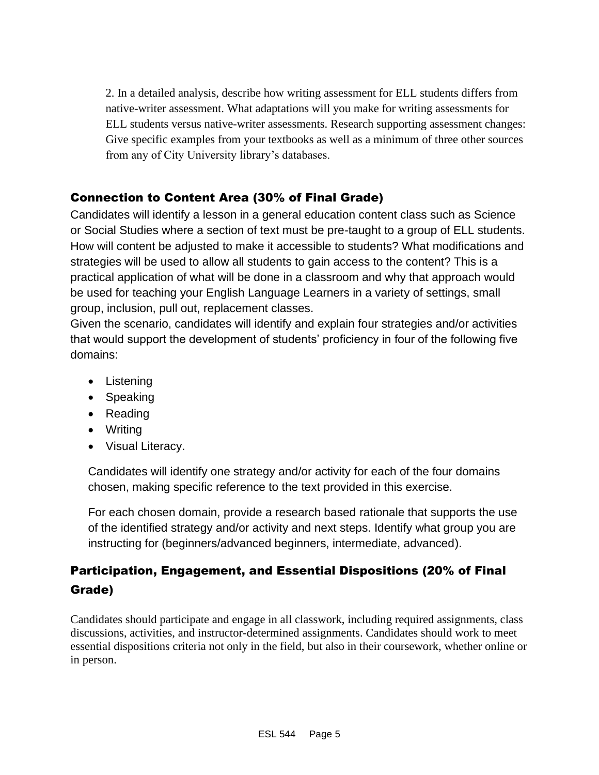2. In a detailed analysis, describe how writing assessment for ELL students differs from native-writer assessment. What adaptations will you make for writing assessments for ELL students versus native-writer assessments. Research supporting assessment changes: Give specific examples from your textbooks as well as a minimum of three other sources from any of City University library's databases.

### Connection to Content Area (30% of Final Grade)

Candidates will identify a lesson in a general education content class such as Science or Social Studies where a section of text must be pre-taught to a group of ELL students. How will content be adjusted to make it accessible to students? What modifications and strategies will be used to allow all students to gain access to the content? This is a practical application of what will be done in a classroom and why that approach would be used for teaching your English Language Learners in a variety of settings, small group, inclusion, pull out, replacement classes.

Given the scenario, candidates will identify and explain four strategies and/or activities that would support the development of students' proficiency in four of the following five domains:

- Listening
- Speaking
- Reading
- Writing
- Visual Literacy.

Candidates will identify one strategy and/or activity for each of the four domains chosen, making specific reference to the text provided in this exercise.

For each chosen domain, provide a research based rationale that supports the use of the identified strategy and/or activity and next steps. Identify what group you are instructing for (beginners/advanced beginners, intermediate, advanced).

### Participation, Engagement, and Essential Dispositions (20% of Final Grade)

Candidates should participate and engage in all classwork, including required assignments, class discussions, activities, and instructor-determined assignments. Candidates should work to meet essential dispositions criteria not only in the field, but also in their coursework, whether online or in person.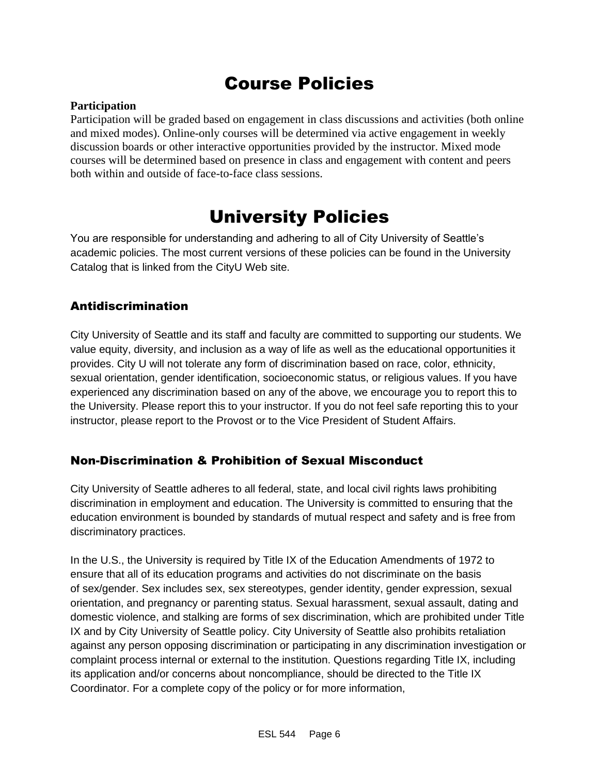## Course Policies

#### **Participation**

Participation will be graded based on engagement in class discussions and activities (both online and mixed modes). Online-only courses will be determined via active engagement in weekly discussion boards or other interactive opportunities provided by the instructor. Mixed mode courses will be determined based on presence in class and engagement with content and peers both within and outside of face-to-face class sessions.

### University Policies

You are responsible for understanding and adhering to all of City University of Seattle's academic policies. The most current versions of these policies can be found in the University Catalog that is linked from the CityU Web site.

### Antidiscrimination

City University of Seattle and its staff and faculty are committed to supporting our students. We value equity, diversity, and inclusion as a way of life as well as the educational opportunities it provides. City U will not tolerate any form of discrimination based on race, color, ethnicity, sexual orientation, gender identification, socioeconomic status, or religious values. If you have experienced any discrimination based on any of the above, we encourage you to report this to the University. Please report this to your instructor. If you do not feel safe reporting this to your instructor, please report to the Provost or to the Vice President of Student Affairs.

### Non-Discrimination & Prohibition of Sexual Misconduct

City University of Seattle adheres to all federal, state, and local civil rights laws prohibiting discrimination in employment and education. The University is committed to ensuring that the education environment is bounded by standards of mutual respect and safety and is free from discriminatory practices.

In the U.S., the University is required by Title IX of the Education Amendments of 1972 to ensure that all of its education programs and activities do not discriminate on the basis of sex/gender. Sex includes sex, sex stereotypes, gender identity, gender expression, sexual orientation, and pregnancy or parenting status. Sexual harassment, sexual assault, dating and domestic violence, and stalking are forms of sex discrimination, which are prohibited under Title IX and by City University of Seattle policy. City University of Seattle also prohibits retaliation against any person opposing discrimination or participating in any discrimination investigation or complaint process internal or external to the institution. Questions regarding Title IX, including its application and/or concerns about noncompliance, should be directed to the Title IX Coordinator. For a complete copy of the policy or for more information,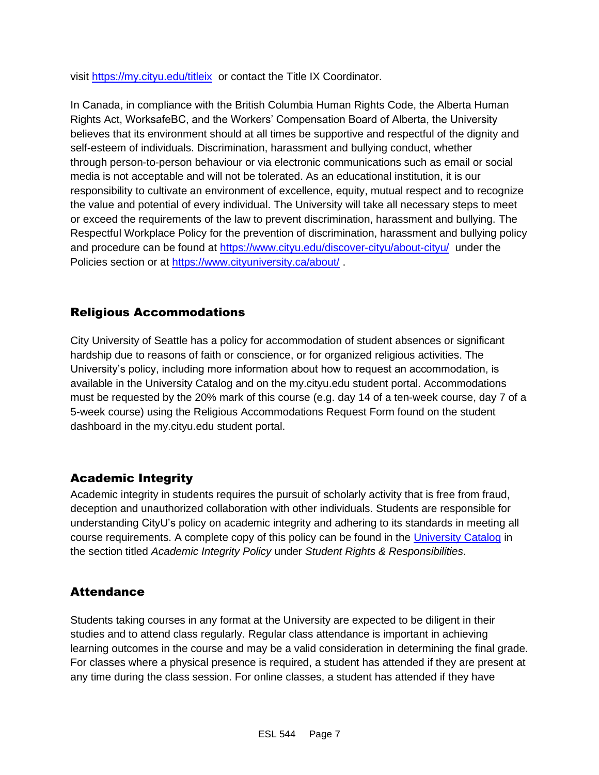visit [https://my.cityu.edu/titleix](https://nam11.safelinks.protection.outlook.com/?url=https%3A%2F%2Fmy.cityu.edu%2Ftitleix&data=04%7C01%7Claker%40cityu.edu%7Cbc558c70c10340dbaa2408d9172365a0%7Cb3fa96d9f5154662add763d854e39e63%7C1%7C0%7C637566263054321964%7CUnknown%7CTWFpbGZsb3d8eyJWIjoiMC4wLjAwMDAiLCJQIjoiV2luMzIiLCJBTiI6Ik1haWwiLCJXVCI6Mn0%3D%7C1000&sdata=GX0hgfxN2OMKFTKjD04gqvwwyU44mfnCmEdCtsEzab0%3D&reserved=0) or contact the Title IX Coordinator.

In Canada, in compliance with the British Columbia Human Rights Code, the Alberta Human Rights Act, WorksafeBC, and the Workers' Compensation Board of Alberta, the University believes that its environment should at all times be supportive and respectful of the dignity and self-esteem of individuals. Discrimination, harassment and bullying conduct, whether through person-to-person behaviour or via electronic communications such as email or social media is not acceptable and will not be tolerated. As an educational institution, it is our responsibility to cultivate an environment of excellence, equity, mutual respect and to recognize the value and potential of every individual. The University will take all necessary steps to meet or exceed the requirements of the law to prevent discrimination, harassment and bullying. The Respectful Workplace Policy for the prevention of discrimination, harassment and bullying policy and procedure can be found at [https://www.cityu.edu/discover-cityu/about-cityu/](https://nam11.safelinks.protection.outlook.com/?url=https%3A%2F%2Fwww.cityu.edu%2Fdiscover-cityu%2Fabout-cityu%2F&data=04%7C01%7Claker%40cityu.edu%7Cbc558c70c10340dbaa2408d9172365a0%7Cb3fa96d9f5154662add763d854e39e63%7C1%7C0%7C637566263054331957%7CUnknown%7CTWFpbGZsb3d8eyJWIjoiMC4wLjAwMDAiLCJQIjoiV2luMzIiLCJBTiI6Ik1haWwiLCJXVCI6Mn0%3D%7C1000&sdata=7Q6QoqwuNLfeOJPewViWSeIwRIBy%2BoqDOiP8xSHYm78%3D&reserved=0) under the Policies section or at [https://www.cityuniversity.ca/about/](https://nam11.safelinks.protection.outlook.com/?url=https%3A%2F%2Fwww.cityuniversity.ca%2Fabout%2F&data=04%7C01%7Claker%40cityu.edu%7Cbc558c70c10340dbaa2408d9172365a0%7Cb3fa96d9f5154662add763d854e39e63%7C1%7C0%7C637566263054331957%7CUnknown%7CTWFpbGZsb3d8eyJWIjoiMC4wLjAwMDAiLCJQIjoiV2luMzIiLCJBTiI6Ik1haWwiLCJXVCI6Mn0%3D%7C1000&sdata=TX6bXEiU0CC6hC1mrTnKpuJywbR06qAj7RMu8QC4RUA%3D&reserved=0).

### Religious Accommodations

City University of Seattle has a policy for accommodation of student absences or significant hardship due to reasons of faith or conscience, or for organized religious activities. The University's policy, including more information about how to request an accommodation, is available in the University Catalog and on the my.cityu.edu student portal. Accommodations must be requested by the 20% mark of this course (e.g. day 14 of a ten-week course, day 7 of a 5-week course) using the Religious Accommodations Request Form found on the student dashboard in the my.cityu.edu student portal.

### Academic Integrity

Academic integrity in students requires the pursuit of scholarly activity that is free from fraud, deception and unauthorized collaboration with other individuals. Students are responsible for understanding CityU's policy on academic integrity and adhering to its standards in meeting all course requirements. A complete copy of this policy can be found in the [University Catalog](https://nam11.safelinks.protection.outlook.com/?url=http%3A%2F%2Fwww.cityu.edu%2Fcatalog%2F&data=04%7C01%7Claker%40cityu.edu%7Cbc558c70c10340dbaa2408d9172365a0%7Cb3fa96d9f5154662add763d854e39e63%7C1%7C0%7C637566263054341952%7CUnknown%7CTWFpbGZsb3d8eyJWIjoiMC4wLjAwMDAiLCJQIjoiV2luMzIiLCJBTiI6Ik1haWwiLCJXVCI6Mn0%3D%7C1000&sdata=aL6fsSyLtVzJgdrlE9PtZXb%2F3H6wCdrvPcw4zOoEYTI%3D&reserved=0) in the section titled *Academic Integrity Policy* under *Student Rights & Responsibilities*.

### **Attendance**

Students taking courses in any format at the University are expected to be diligent in their studies and to attend class regularly. Regular class attendance is important in achieving learning outcomes in the course and may be a valid consideration in determining the final grade. For classes where a physical presence is required, a student has attended if they are present at any time during the class session. For online classes, a student has attended if they have